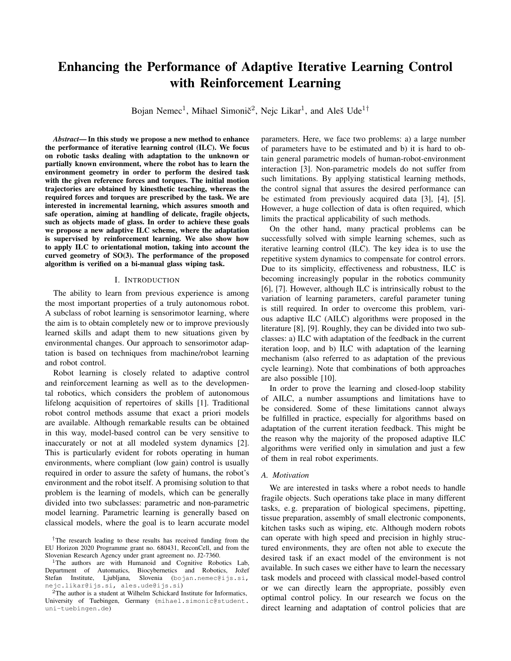# Enhancing the Performance of Adaptive Iterative Learning Control with Reinforcement Learning

Bojan Nemec<sup>1</sup>, Mihael Simonič<sup>2</sup>, Nejc Likar<sup>1</sup>, and Aleš Ude<sup>1†</sup>

*Abstract*— In this study we propose a new method to enhance the performance of iterative learning control (ILC). We focus on robotic tasks dealing with adaptation to the unknown or partially known environment, where the robot has to learn the environment geometry in order to perform the desired task with the given reference forces and torques. The initial motion trajectories are obtained by kinesthetic teaching, whereas the required forces and torques are prescribed by the task. We are interested in incremental learning, which assures smooth and safe operation, aiming at handling of delicate, fragile objects, such as objects made of glass. In order to achieve these goals we propose a new adaptive ILC scheme, where the adaptation is supervised by reinforcement learning. We also show how to apply ILC to orientational motion, taking into account the curved geometry of SO(3). The performance of the proposed algorithm is verified on a bi-manual glass wiping task.

## I. INTRODUCTION

The ability to learn from previous experience is among the most important properties of a truly autonomous robot. A subclass of robot learning is sensorimotor learning, where the aim is to obtain completely new or to improve previously learned skills and adapt them to new situations given by environmental changes. Our approach to sensorimotor adaptation is based on techniques from machine/robot learning and robot control.

Robot learning is closely related to adaptive control and reinforcement learning as well as to the developmental robotics, which considers the problem of autonomous lifelong acquisition of repertoires of skills [1]. Traditional robot control methods assume that exact a priori models are available. Although remarkable results can be obtained in this way, model-based control can be very sensitive to inaccurately or not at all modeled system dynamics [2]. This is particularly evident for robots operating in human environments, where compliant (low gain) control is usually required in order to assure the safety of humans, the robot's environment and the robot itself. A promising solution to that problem is the learning of models, which can be generally divided into two subclasses: parametric and non-parametric model learning. Parametric learning is generally based on classical models, where the goal is to learn accurate model parameters. Here, we face two problems: a) a large number of parameters have to be estimated and b) it is hard to obtain general parametric models of human-robot-environment interaction [3]. Non-parametric models do not suffer from such limitations. By applying statistical learning methods, the control signal that assures the desired performance can be estimated from previously acquired data [3], [4], [5]. However, a huge collection of data is often required, which limits the practical applicability of such methods.

On the other hand, many practical problems can be successfully solved with simple learning schemes, such as iterative learning control (ILC). The key idea is to use the repetitive system dynamics to compensate for control errors. Due to its simplicity, effectiveness and robustness, ILC is becoming increasingly popular in the robotics community [6], [7]. However, although ILC is intrinsically robust to the variation of learning parameters, careful parameter tuning is still required. In order to overcome this problem, various adaptive ILC (AILC) algorithms were proposed in the literature [8], [9]. Roughly, they can be divided into two subclasses: a) ILC with adaptation of the feedback in the current iteration loop, and b) ILC with adaptation of the learning mechanism (also referred to as adaptation of the previous cycle learning). Note that combinations of both approaches are also possible [10].

In order to prove the learning and closed-loop stability of AILC, a number assumptions and limitations have to be considered. Some of these limitations cannot always be fulfilled in practice, especially for algorithms based on adaptation of the current iteration feedback. This might be the reason why the majority of the proposed adaptive ILC algorithms were verified only in simulation and just a few of them in real robot experiments.

## *A. Motivation*

We are interested in tasks where a robot needs to handle fragile objects. Such operations take place in many different tasks, e. g. preparation of biological specimens, pipetting, tissue preparation, assembly of small electronic components, kitchen tasks such as wiping, etc. Although modern robots can operate with high speed and precision in highly structured environments, they are often not able to execute the desired task if an exact model of the environment is not available. In such cases we either have to learn the necessary task models and proceed with classical model-based control or we can directly learn the appropriate, possibly even optimal control policy. In our research we focus on the direct learning and adaptation of control policies that are

<sup>†</sup>The research leading to these results has received funding from the EU Horizon 2020 Programme grant no. 680431, ReconCell, and from the Slovenian Research Agency under grant agreement no. J2-7360.

<sup>&</sup>lt;sup>1</sup>The authors are with Humanoid and Cognitive Robotics Lab, Department of Automatics, Biocybernetics and Robotics, Jožef Stefan Institute, Ljubljana, Slovenia (bojan.nemec@ijs.si, nejc.likar@ijs.si, ales.ude@ijs.si)

 $2^2$ The author is a student at Wilhelm Schickard Institute for Informatics, University of Tuebingen, Germany (mihael.simonic@student. uni-tuebingen.de)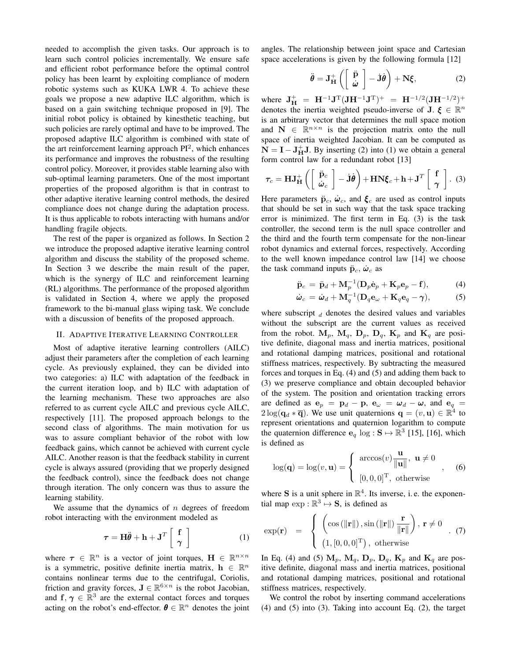needed to accomplish the given tasks. Our approach is to learn such control policies incrementally. We ensure safe and efficient robot performance before the optimal control policy has been learnt by exploiting compliance of modern robotic systems such as KUKA LWR 4. To achieve these goals we propose a new adaptive ILC algorithm, which is based on a gain switching technique proposed in [9]. The initial robot policy is obtained by kinesthetic teaching, but such policies are rarely optimal and have to be improved. The proposed adaptive ILC algorithm is combined with state of the art reinforcement learning approach  $PI^2$ , which enhances its performance and improves the robustness of the resulting control policy. Moreover, it provides stable learning also with sub-optimal learning parameters. One of the most important properties of the proposed algorithm is that in contrast to other adaptive iterative learning control methods, the desired compliance does not change during the adaptation process. It is thus applicable to robots interacting with humans and/or handling fragile objects.

The rest of the paper is organized as follows. In Section 2 we introduce the proposed adaptive iterative learning control algorithm and discuss the stability of the proposed scheme. In Section 3 we describe the main result of the paper, which is the synergy of ILC and reinforcement learning (RL) algorithms. The performance of the proposed algorithm is validated in Section 4, where we apply the proposed framework to the bi-manual glass wiping task. We conclude with a discussion of benefits of the proposed approach.

# II. ADAPTIVE ITERATIVE LEARNING CONTROLLER

Most of adaptive iterative learning controllers (AILC) adjust their parameters after the completion of each learning cycle. As previously explained, they can be divided into two categories: a) ILC with adaptation of the feedback in the current iteration loop, and b) ILC with adaptation of the learning mechanism. These two approaches are also referred to as current cycle AILC and previous cycle AILC, respectively [11]. The proposed approach belongs to the second class of algorithms. The main motivation for us was to assure compliant behavior of the robot with low feedback gains, which cannot be achieved with current cycle AILC. Another reason is that the feedback stability in current cycle is always assured (providing that we properly designed the feedback control), since the feedback does not change through iteration. The only concern was thus to assure the learning stability.

We assume that the dynamics of  $n$  degrees of freedom robot interacting with the environment modeled as

$$
\boldsymbol{\tau} = \mathbf{H}\ddot{\boldsymbol{\theta}} + \mathbf{h} + \mathbf{J}^T \begin{bmatrix} \mathbf{f} \\ \boldsymbol{\gamma} \end{bmatrix}
$$
 (1)

where  $\tau \in \mathbb{R}^n$  is a vector of joint torques,  $\mathbf{H} \in \mathbb{R}^{n \times n}$ is a symmetric, positive definite inertia matrix,  $\mathbf{h} \in \mathbb{R}^n$ contains nonlinear terms due to the centrifugal, Coriolis, friction and gravity forces,  $J \in \mathbb{R}^{6 \times n}$  is the robot Jacobian, and  $f, \gamma \in \mathbb{R}^3$  are the external contact forces and torques acting on the robot's end-effector.  $\boldsymbol{\theta} \in \mathbb{R}^n$  denotes the joint

angles. The relationship between joint space and Cartesian space accelerations is given by the following formula [12]

$$
\ddot{\theta} = \mathbf{J}_{\mathbf{H}}^{+} \left( \begin{bmatrix} \ddot{\mathbf{p}} \\ \dot{\boldsymbol{\omega}} \end{bmatrix} - \dot{\mathbf{J}} \dot{\theta} \right) + \mathbf{N} \boldsymbol{\xi}, \tag{2}
$$

where  $J_H^+ = H^{-1}J^T(JH^{-1}J^T)^+ = H^{-1/2}(JH^{-1/2})^+$ denotes the inertia weighted pseudo-inverse of **J**.  $\xi \in \mathbb{R}^n$ is an arbitrary vector that determines the null space motion and  $N \in \mathbb{R}^{n \times n}$  is the projection matrix onto the null space of inertia weighted Jacobian. It can be computed as  $N = I - J_H^+ J$ . By inserting (2) into (1) we obtain a general form control law for a redundant robot [13]

$$
\tau_c = \mathbf{H}\mathbf{J}_{\mathbf{H}}^+ \left( \left[ \begin{array}{c} \ddot{\mathbf{p}}_c \\ \dot{\boldsymbol{\omega}}_c \end{array} \right] - \dot{\mathbf{J}}\dot{\boldsymbol{\theta}} \right) + \mathbf{H}\mathbf{N}\boldsymbol{\xi}_c + \mathbf{h} + \mathbf{J}^T \left[ \begin{array}{c} \mathbf{f} \\ \boldsymbol{\gamma} \end{array} \right].
$$
 (3)

Here parameters  $\ddot{\mathbf{p}}_c$ ,  $\dot{\boldsymbol{\omega}}_c$ , and  $\boldsymbol{\xi}_c$  are used as control inputs that should be set in such way that the task space tracking error is minimized. The first term in Eq. (3) is the task controller, the second term is the null space controller and the third and the fourth term compensate for the non-linear robot dynamics and external forces, respectively. According to the well known impedance control law [14] we choose the task command inputs  $\ddot{\mathbf{p}}_c$ ,  $\dot{\boldsymbol{\omega}}_c$  as

$$
\ddot{\mathbf{p}}_c = \ddot{\mathbf{p}}_d + \mathbf{M}_p^{-1} (\mathbf{D}_p \dot{\mathbf{e}}_p + \mathbf{K}_p \mathbf{e}_p - \mathbf{f}), \tag{4}
$$

$$
\dot{\boldsymbol{\omega}}_c = \dot{\boldsymbol{\omega}}_d + \mathbf{M}_q^{-1} (\mathbf{D}_q \mathbf{e}_{\omega} + \mathbf{K}_q \mathbf{e}_q - \boldsymbol{\gamma}), \tag{5}
$$

where subscript  $_d$  denotes the desired values and variables without the subscript are the current values as received from the robot.  $M_p$ ,  $M_q$ ,  $D_p$ ,  $D_q$ ,  $K_p$  and  $K_q$  are positive definite, diagonal mass and inertia matrices, positional and rotational damping matrices, positional and rotational stiffness matrices, respectively. By subtracting the measured forces and torques in Eq. (4) and (5) and adding them back to (3) we preserve compliance and obtain decoupled behavior of the system. The position and orientation tracking errors are defined as  $e_p = p_d - p$ ,  $e_\omega = \omega_d - \omega$ , and  $e_q =$  $2\log(\mathbf{q}_d * \overline{\mathbf{q}})$ . We use unit quaternions  $\mathbf{q} = (v, \mathbf{u}) \in \mathbb{R}^4$  to represent orientations and quaternion logarithm to compute the quaternion difference  $\mathbf{e}_q \log : \mathbf{S} \mapsto \mathbb{R}^3$  [15], [16], which is defined as

$$
\log(\mathbf{q}) = \log(v, \mathbf{u}) = \begin{cases} \arccos(v) \frac{\mathbf{u}}{\|\mathbf{u}\|}, \ \mathbf{u} \neq 0 \\ [0, 0, 0]^{\mathrm{T}}, \ \text{otherwise} \end{cases}, \quad (6)
$$

where S is a unit sphere in  $\mathbb{R}^4$ . Its inverse, i.e. the exponential map  $\exp : \mathbb{R}^3 \mapsto S$ , is defined as

$$
\exp(\mathbf{r}) = \begin{cases} \left( \cos \left( \|\mathbf{r}\| \right), \sin \left( \|\mathbf{r}\| \right) \frac{\mathbf{r}}{\|\mathbf{r}\|} \right), \mathbf{r} \neq 0 \\ \left( 1, \left[ 0, 0, 0 \right]^{\mathrm{T}} \right), \text{ otherwise} \end{cases} (7)
$$

In Eq. (4) and (5)  $M_p$ ,  $M_q$ ,  $D_p$ ,  $D_q$ ,  $K_p$  and  $K_q$  are positive definite, diagonal mass and inertia matrices, positional and rotational damping matrices, positional and rotational stiffness matrices, respectively.

We control the robot by inserting command accelerations (4) and (5) into (3). Taking into account Eq. (2), the target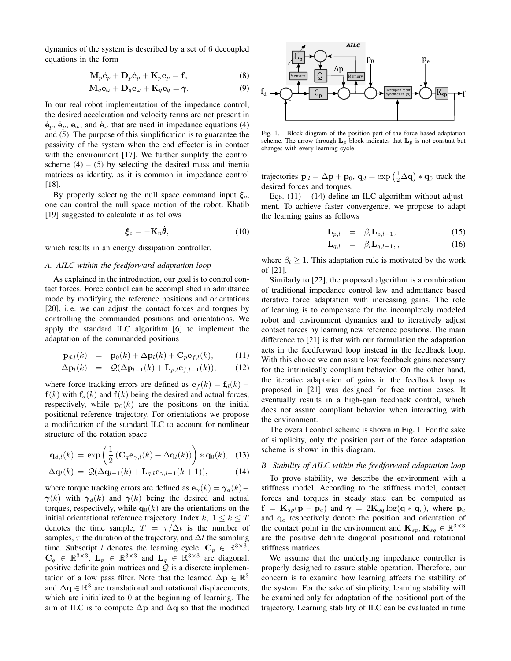dynamics of the system is described by a set of 6 decoupled equations in the form

$$
\mathbf{M}_p \ddot{\mathbf{e}}_p + \mathbf{D}_p \dot{\mathbf{e}}_p + \mathbf{K}_p \mathbf{e}_p = \mathbf{f},\tag{8}
$$

$$
\mathbf{M}_q \dot{\mathbf{e}}_\omega + \mathbf{D}_q \mathbf{e}_\omega + \mathbf{K}_q \mathbf{e}_q = \boldsymbol{\gamma}.
$$
 (9)

In our real robot implementation of the impedance control, the desired acceleration and velocity terms are not present in  $\dot{\mathbf{e}}_p$ ,  $\ddot{\mathbf{e}}_p$ ,  $\mathbf{e}_{\omega}$ , and  $\dot{\mathbf{e}}_{\omega}$  that are used in impedance equations (4) and (5). The purpose of this simplification is to guarantee the passivity of the system when the end effector is in contact with the environment [17]. We further simplify the control scheme  $(4) - (5)$  by selecting the desired mass and inertia matrices as identity, as it is common in impedance control [18].

By properly selecting the null space command input  $\xi_c$ , one can control the null space motion of the robot. Khatib [19] suggested to calculate it as follows

$$
\boldsymbol{\xi}_c = -\mathbf{K}_n \dot{\boldsymbol{\theta}},\tag{10}
$$

which results in an energy dissipation controller.

## *A. AILC within the feedforward adaptation loop*

As explained in the introduction, our goal is to control contact forces. Force control can be accomplished in admittance mode by modifying the reference positions and orientations [20], i. e. we can adjust the contact forces and torques by controlling the commanded positions and orientations. We apply the standard ILC algorithm [6] to implement the adaptation of the commanded positions

$$
\mathbf{p}_{d,l}(k) = \mathbf{p}_0(k) + \Delta \mathbf{p}_l(k) + \mathbf{C}_p \mathbf{e}_{f,l}(k), \quad (11)
$$

$$
\Delta \mathbf{p}_l(k) = \mathcal{Q}(\Delta \mathbf{p}_{l-1}(k) + \mathbf{L}_{p,l} \mathbf{e}_{f,l-1}(k)), \quad (12)
$$

where force tracking errors are defined as  $e_f(k) = f_d(k)$  –  $f(k)$  with  $f<sub>d</sub>(k)$  and  $f(k)$  being the desired and actual forces, respectively, while  $p_0(k)$  are the positions on the initial positional reference trajectory. For orientations we propose a modification of the standard ILC to account for nonlinear structure of the rotation space

$$
\mathbf{q}_{d,l}(k) = \exp\left(\frac{1}{2}\left(\mathbf{C}_q \mathbf{e}_{\gamma,l}(k) + \Delta \mathbf{q}_l(k)\right)\right) * \mathbf{q}_0(k), \quad (13)
$$

$$
\Delta \mathbf{q}_l(k) = \mathcal{Q}(\Delta \mathbf{q}_{l-1}(k) + \mathbf{L}_{q,l} \mathbf{e}_{\gamma,l-1}(k+1)), \tag{14}
$$

where torque tracking errors are defined as  $e_\gamma(k) = \gamma_d(k)$  –  $\gamma(k)$  with  $\gamma_d(k)$  and  $\gamma(k)$  being the desired and actual torques, respectively, while  $\mathbf{q}_0(k)$  are the orientations on the initial orientational reference trajectory. Index  $k, 1 \leq k \leq T$ denotes the time sample,  $T = \tau/\Delta t$  is the number of samples,  $\tau$  the duration of the trajectory, and  $\Delta t$  the sampling time. Subscript l denotes the learning cycle.  $\mathbf{C}_p \in \mathbb{R}^{3 \times 3}$ ,  $\mathbf{C}_q \in \mathbb{R}^{3 \times 3}$ ,  $\mathbf{L}_p \in \mathbb{R}^{3 \times 3}$  and  $\mathbf{L}_q \in \mathbb{R}^{3 \times 3}$  are diagonal, positive definite gain matrices and  $Q$  is a discrete implementation of a low pass filter. Note that the learned  $\Delta p \in \mathbb{R}^3$ and  $\Delta q \in \mathbb{R}^3$  are translational and rotational displacements, which are initialized to 0 at the beginning of learning. The aim of ILC is to compute  $\Delta p$  and  $\Delta q$  so that the modified



Fig. 1. Block diagram of the position part of the force based adaptation scheme. The arrow through  $L_p$  block indicates that  $L_p$  is not constant but changes with every learning cycle.

trajectories  $\mathbf{p}_d = \Delta \mathbf{p} + \mathbf{p}_0$ ,  $\mathbf{q}_d = \exp\left(\frac{1}{2}\Delta \mathbf{q}\right) * \mathbf{q}_0$  track the desired forces and torques.

Eqs.  $(11) - (14)$  define an ILC algorithm without adjustment. To achieve faster convergence, we propose to adapt the learning gains as follows

$$
\mathbf{L}_{p,l} = \beta_l \mathbf{L}_{p,l-1}, \tag{15}
$$

$$
\mathbf{L}_{q,l} = \beta_l \mathbf{L}_{q,l-1}, \qquad (16)
$$

where  $\beta_l \geq 1$ . This adaptation rule is motivated by the work of [21].

Similarly to [22], the proposed algorithm is a combination of traditional impedance control law and admittance based iterative force adaptation with increasing gains. The role of learning is to compensate for the incompletely modeled robot and environment dynamics and to iteratively adjust contact forces by learning new reference positions. The main difference to [21] is that with our formulation the adaptation acts in the feedforward loop instead in the feedback loop. With this choice we can assure low feedback gains necessary for the intrinsically compliant behavior. On the other hand, the iterative adaptation of gains in the feedback loop as proposed in [21] was designed for free motion cases. It eventually results in a high-gain feedback control, which does not assure compliant behavior when interacting with the environment.

The overall control scheme is shown in Fig. 1. For the sake of simplicity, only the position part of the force adaptation scheme is shown in this diagram.

# *B. Stability of AILC within the feedforward adaptation loop*

To prove stability, we describe the environment with a stiffness model. According to the stiffness model, contact forces and torques in steady state can be computed as  $f = K_{sp}(p - p_e)$  and  $\gamma = 2K_{sq} \log(q * \overline{q}_e)$ , where  $p_e$ and  $q_e$  respectively denote the position and orientation of the contact point in the environment and  $\mathbf{K}_{sp}$ ,  $\mathbf{K}_{sq} \in \mathbb{R}^{3 \times 3}$ are the positive definite diagonal positional and rotational stiffness matrices.

We assume that the underlying impedance controller is properly designed to assure stable operation. Therefore, our concern is to examine how learning affects the stability of the system. For the sake of simplicity, learning stability will be examined only for adaptation of the positional part of the trajectory. Learning stability of ILC can be evaluated in time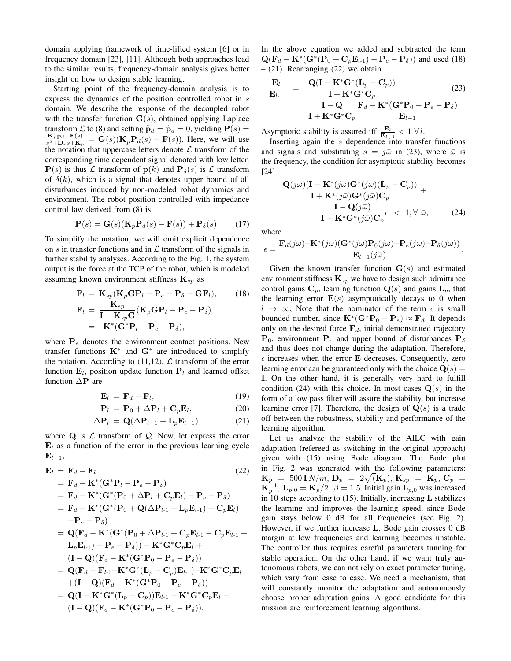domain applying framework of time-lifted system [6] or in frequency domain [23], [11]. Although both approaches lead to the similar results, frequency-domain analysis gives better insight on how to design stable learning.

Starting point of the frequency-domain analysis is to express the dynamics of the position controlled robot in s domain. We describe the response of the decoupled robot with the transfer function  $\mathbf{G}(s)$ , obtained applying Laplace transform  $\mathcal L$  to (8) and setting  $\ddot{\mathbf{p}}_d = \dot{\mathbf{p}}_d = 0$ , yielding  $\mathbf{P}(s) =$  $\frac{K_p \mathbf{p}_d - \mathbf{F}(s)}{s^2 + \mathbf{D}_p s + \mathbf{K}_p} = \mathbf{G}(s) (\mathbf{K}_p \mathbf{P}_d(s) - \mathbf{F}(s))$ . Here, we will use the notation that uppercase letters denote  $\mathcal L$  transform of the corresponding time dependent signal denoted with low letter.  $P(s)$  is thus L transform of  $p(k)$  and  $P_\delta(s)$  is L transform of  $\delta(k)$ , which is a signal that denotes upper bound of all disturbances induced by non-modeled robot dynamics and environment. The robot position controlled with impedance control law derived from (8) is

$$
\mathbf{P}(s) = \mathbf{G}(s)(\mathbf{K}_p \mathbf{P}_d(s) - \mathbf{F}(s)) + \mathbf{P}_\delta(s). \tag{17}
$$

To simplify the notation, we will omit explicit dependence on s in transfer functions and in  $\mathcal L$  transform of the signals in further stability analyses. According to the Fig. 1, the system output is the force at the TCP of the robot, which is modeled assuming known environment stiffness  $\mathbf{K}_{sp}$  as

$$
\mathbf{F}_{l} = \mathbf{K}_{sp}(\mathbf{K}_{p}\mathbf{G}\mathbf{P}_{l} - \mathbf{P}_{e} - \mathbf{P}_{\delta} - \mathbf{G}\mathbf{F}_{l}),
$$
 (18)  

$$
\mathbf{F}_{l} = \frac{\mathbf{K}_{sp}}{\mathbf{I} + \mathbf{K}_{sp}\mathbf{G}}(\mathbf{K}_{p}\mathbf{G}\mathbf{P}_{l} - \mathbf{P}_{e} - \mathbf{P}_{\delta})
$$

$$
= \mathbf{K}^{*}(\mathbf{G}^{*}\mathbf{P}_{l} - \mathbf{P}_{e} - \mathbf{P}_{\delta}),
$$

where  $P_e$  denotes the environment contact positions. New transfer functions  $K^*$  and  $G^*$  are introduced to simplify the notation. According to (11,12),  $\mathcal{L}$  transform of the error function  $\mathbf{E}_l$ , position update function  $\mathbf{P}_l$  and learned offset function ∆P are

$$
\mathbf{E}_l = \mathbf{F}_d - \mathbf{F}_l, \tag{19}
$$

$$
\mathbf{P}_l = \mathbf{P}_0 + \Delta \mathbf{P}_l + \mathbf{C}_p \mathbf{E}_l, \tag{20}
$$

$$
\Delta \mathbf{P}_l = \mathbf{Q}(\Delta \mathbf{P}_{l-1} + \mathbf{L}_p \mathbf{E}_{l-1}),
$$
 (21)

where  $Q$  is  $\mathcal L$  transform of  $\mathcal Q$ . Now, let express the error  $E_l$  as a function of the error in the previous learning cycle  $\mathbf{E}_{l-1},$ 

$$
\mathbf{E}_{l} = \mathbf{F}_{d} - \mathbf{F}_{l}
$$
\n
$$
= \mathbf{F}_{d} - \mathbf{K}^{*}(\mathbf{G}^{*}\mathbf{P}_{l} - \mathbf{P}_{e} - \mathbf{P}_{\delta})
$$
\n
$$
= \mathbf{F}_{d} - \mathbf{K}^{*}(\mathbf{G}^{*}(\mathbf{P}_{0} + \Delta\mathbf{P}_{l} + \mathbf{C}_{p}\mathbf{E}_{l}) - \mathbf{P}_{e} - \mathbf{P}_{\delta})
$$
\n
$$
= \mathbf{F}_{d} - \mathbf{K}^{*}(\mathbf{G}^{*}(\mathbf{P}_{0} + \mathbf{Q}(\Delta\mathbf{P}_{l\cdot 1} + \mathbf{L}_{p}\mathbf{E}_{l\cdot 1}) + \mathbf{C}_{p}\mathbf{E}_{l})
$$
\n
$$
- \mathbf{P}_{e} - \mathbf{P}_{\delta})
$$
\n
$$
= \mathbf{Q}(\mathbf{F}_{d} - \mathbf{K}^{*}(\mathbf{G}^{*}(\mathbf{P}_{0} + \Delta\mathbf{P}_{l\cdot 1} + \mathbf{C}_{p}\mathbf{E}_{l\cdot 1} - \mathbf{C}_{p}\mathbf{E}_{l\cdot 1} + \mathbf{L}_{p}\mathbf{E}_{l\cdot 1}) - \mathbf{P}_{e} - \mathbf{P}_{\delta})) - \mathbf{K}^{*}\mathbf{G}^{*}\mathbf{C}_{p}\mathbf{E}_{l} +
$$
\n
$$
(\mathbf{I} - \mathbf{Q})(\mathbf{F}_{d} - \mathbf{K}^{*}(\mathbf{G}^{*}\mathbf{P}_{0} - \mathbf{P}_{e} - \mathbf{P}_{\delta}))
$$
\n
$$
= \mathbf{Q}(\mathbf{F}_{d} - \mathbf{F}_{l\cdot 1} - \mathbf{K}^{*}\mathbf{G}^{*}(\mathbf{L}_{p} - \mathbf{C}_{p})\mathbf{E}_{l\cdot 1}) - \mathbf{K}^{*}\mathbf{G}^{*}\mathbf{C}_{p}\mathbf{E}_{l} +
$$
\n
$$
+(\mathbf{I} - \mathbf{Q})(\mathbf{F}_{d} - \mathbf{K}^{*}(\mathbf{G}^{*}\mathbf{P}_{0} - \mathbf{P}_{e} - \mathbf{P}_{\
$$

In the above equation we added and subtracted the term  ${\bf Q}({\bf F}_d - {\bf K}^*({\bf G}^*({\bf P}_0 + {\bf C}_p {\bf E}_{l-1}) - {\bf P}_e - {\bf P}_\delta))$  and used (18)  $-$  (21). Rearranging (22) we obtain

$$
\frac{\mathbf{E}_{l}}{\mathbf{E}_{l\text{-}1}} = \frac{\mathbf{Q}(\mathbf{I} - \mathbf{K}^*\mathbf{G}^*(\mathbf{L}_p - \mathbf{C}_p))}{\mathbf{I} + \mathbf{K}^*\mathbf{G}^*\mathbf{C}_p} + \frac{\mathbf{I} - \mathbf{Q}}{\mathbf{I} + \mathbf{K}^*\mathbf{G}^*\mathbf{C}_p} \frac{\mathbf{F}_d - \mathbf{K}^*(\mathbf{G}^*\mathbf{P}_0 - \mathbf{P}_e - \mathbf{P}_\delta)}{\mathbf{E}_{l-1}}
$$
\n(23)

Asymptotic stability is assured iff  $\frac{\mathbf{E}_l}{\mathbf{E}_{l-1}} < 1 \ \forall l$ .

Inserting again the  $s$  dependence into transfer functions and signals and substituting  $s = j\bar{\omega}$  in (23), where  $\bar{\omega}$  is the frequency, the condition for asymptotic stability becomes [24]

$$
\frac{\mathbf{Q}(j\bar{\omega})(\mathbf{I} - \mathbf{K}^*(j\bar{\omega})\mathbf{G}^*(j\bar{\omega})(\mathbf{L}_p - \mathbf{C}_p))}{\mathbf{I} + \mathbf{K}^*(j\bar{\omega})\mathbf{G}^*(j\bar{\omega})\mathbf{C}_p} + \frac{\mathbf{I} - \mathbf{Q}(j\bar{\omega})}{\mathbf{I} + \mathbf{K}^*\mathbf{G}^*(j\bar{\omega})\mathbf{C}_p} \epsilon \quad 1, \forall \bar{\omega}, \tag{24}
$$

where

$$
\epsilon = \frac{\mathbf{F}_d(j\bar{\omega}) - \mathbf{K}^*(j\bar{\omega})(\mathbf{G}^*(j\bar{\omega})\mathbf{P}_0(j\bar{\omega}) - \mathbf{P}_e(j\bar{\omega}) - \mathbf{P}_\delta(j\bar{\omega}))}{\mathbf{E}_{l-1}(j\bar{\omega})}.
$$

Given the known transfer function  $G(s)$  and estimated environment stiffness  $\mathbf{K}_{sp}$  we have to design such admittance control gains  $C_p$ , learning function  $Q(s)$  and gains  $L_p$ , that the learning error  $E(s)$  asymptotically decays to 0 when  $l \rightarrow \infty$ , Note that the nominator of the term  $\epsilon$  is small bounded number, since  $\mathbf{K}^*(\mathbf{G}^*\mathbf{P}_0 - \mathbf{P}_e) \approx \mathbf{F}_d$ . It depends only on the desired force  $F_d$ , initial demonstrated trajectory  $P_0$ , environment  $P_e$  and upper bound of disturbances  $P_\delta$ and thus does not change during the adaptation. Therefore,  $\epsilon$  increases when the error **E** decreases. Consequently, zero learning error can be guaranteed only with the choice  $\mathbf{Q}(s)$  = I. On the other hand, it is generally very hard to fulfill condition (24) with this choice. In most cases  $Q(s)$  in the form of a low pass filter will assure the stability, but increase learning error [7]. Therefore, the design of  $\mathbf{Q}(s)$  is a trade off between the robustness, stability and performance of the learning algorithm.

Let us analyze the stability of the AILC with gain adaptation (refereed as switching in the original approach) given with (15) using Bode diagram. The Bode plot in Fig. 2 was generated with the following parameters:  ${\bf K}_p \,\,=\,\, 500 \, {\bf I} \, N/m, \, {\bf D}_p \,\,=\,\, 2 \sqrt({\bf K}_p), \, {\bf K}_{sp} \,\,=\,\, {\bf K}_p, \, {\bf C}_p \,\,=\,\,$  $\mathbf{K}_p^{-1}$ ,  $\mathbf{L}_{p,0} = \mathbf{K}_p/2$ ,  $\beta = 1.5$ . Initial gain  $\mathbf{L}_{p,0}$  was increased in 10 steps according to  $(15)$ . Initially, increasing **L** stabilizes the learning and improves the learning speed, since Bode gain stays below 0 dB for all frequencies (see Fig. 2). However, if we further increase L, Bode gain crosses 0 dB margin at low frequencies and learning becomes unstable. The controller thus requires careful parameters tunning for stable operation. On the other hand, if we want truly autonomous robots, we can not rely on exact parameter tuning, which vary from case to case. We need a mechanism, that will constantly monitor the adaptation and autonomously choose proper adaptation gains. A good candidate for this mission are reinforcement learning algorithms.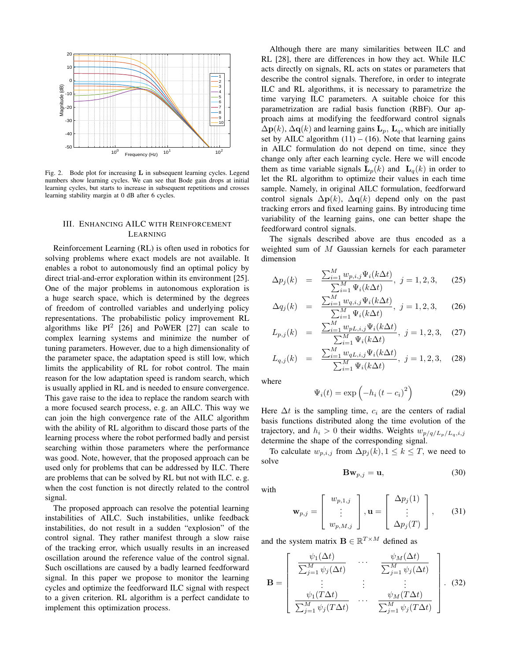

Fig. 2. Bode plot for increasing L in subsequent learning cycles. Legend numbers show learning cycles. We can see that Bode gain drops at initial learning cycles, but starts to increase in subsequent repetitions and crosses learning stability margin at 0 dB after 6 cycles.

# III. ENHANCING AILC WITH REINFORCEMENT LEARNING

Reinforcement Learning (RL) is often used in robotics for solving problems where exact models are not available. It enables a robot to autonomously find an optimal policy by direct trial-and-error exploration within its environment [25]. One of the major problems in autonomous exploration is a huge search space, which is determined by the degrees of freedom of controlled variables and underlying policy representations. The probabilistic policy improvement RL algorithms like  $PI^2$  [26] and PoWER [27] can scale to complex learning systems and minimize the number of tuning parameters. However, due to a high dimensionality of the parameter space, the adaptation speed is still low, which limits the applicability of RL for robot control. The main reason for the low adaptation speed is random search, which is usually applied in RL and is needed to ensure convergence. This gave raise to the idea to replace the random search with a more focused search process, e. g. an AILC. This way we can join the high convergence rate of the AILC algorithm with the ability of RL algorithm to discard those parts of the learning process where the robot performed badly and persist searching within those parameters where the performance was good. Note, however, that the proposed approach can be used only for problems that can be addressed by ILC. There are problems that can be solved by RL but not with ILC. e. g. when the cost function is not directly related to the control signal.

The proposed approach can resolve the potential learning instabilities of AILC. Such instabilities, unlike feedback instabilities, do not result in a sudden "explosion" of the control signal. They rather manifest through a slow raise of the tracking error, which usually results in an increased oscillation around the reference value of the control signal. Such oscillations are caused by a badly learned feedforward signal. In this paper we propose to monitor the learning cycles and optimize the feedforward ILC signal with respect to a given criterion. RL algorithm is a perfect candidate to implement this optimization process.

Although there are many similarities between ILC and RL [28], there are differences in how they act. While ILC acts directly on signals, RL acts on states or parameters that describe the control signals. Therefore, in order to integrate ILC and RL algorithms, it is necessary to parametrize the time varying ILC parameters. A suitable choice for this parametrization are radial basis function (RBF). Our approach aims at modifying the feedforward control signals  $\Delta p(k)$ ,  $\Delta q(k)$  and learning gains  $\mathbf{L}_p$ ,  $\mathbf{L}_q$ , which are initially set by AILC algorithm  $(11) - (16)$ . Note that learning gains in AILC formulation do not depend on time, since they change only after each learning cycle. Here we will encode them as time variable signals  $L_p(k)$  and  $L_q(k)$  in order to let the RL algorithm to optimize their values in each time sample. Namely, in original AILC formulation, feedforward control signals  $\Delta p(k)$ ,  $\Delta q(k)$  depend only on the past tracking errors and fixed learning gains. By introducing time variability of the learning gains, one can better shape the feedforward control signals.

The signals described above are thus encoded as a weighted sum of M Gaussian kernels for each parameter dimension

$$
\Delta p_j(k) = \frac{\sum_{i=1}^M w_{p,i,j} \Psi_i(k \Delta t)}{\sum_{i=1}^M \Psi_i(k \Delta t)}, \ j = 1, 2, 3, \qquad (25)
$$

$$
\Delta q_j(k) = \frac{\sum_{i=1}^M w_{q,i,j} \Psi_i(k \Delta t)}{\sum_{i=1}^M \Psi_i(k \Delta t)}, \ j = 1, 2, 3, \qquad (26)
$$

$$
L_{p,j}(k) = \frac{\sum_{i=1}^{M} w_{pL,i,j} \Psi_i(k\Delta t)}{\sum_{i=1}^{M} \Psi_i(k\Delta t)}, \ j = 1, 2, 3, \quad (27)
$$

$$
L_{q,j}(k) = \frac{\sum_{i=1}^{M} w_{qL,i,j} \Psi_i(k\Delta t)}{\sum_{i=1}^{M} \Psi_i(k\Delta t)}, \ j = 1, 2, 3, \quad (28)
$$

where

$$
\Psi_i(t) = \exp\left(-h_i\left(t - c_i\right)^2\right) \tag{29}
$$

Here  $\Delta t$  is the sampling time,  $c_i$  are the centers of radial basis functions distributed along the time evolution of the trajectory, and  $h_i > 0$  their widths. Weights  $w_{p/q/L_p/L_q,i,j}$ determine the shape of the corresponding signal.

To calculate  $w_{p,i,j}$  from  $\Delta p_j(k)$ ,  $1 \leq k \leq T$ , we need to solve

$$
\mathbf{B}\mathbf{w}_{p,j} = \mathbf{u},\tag{30}
$$

with

$$
\mathbf{w}_{p,j} = \begin{bmatrix} w_{p,1,j} \\ \vdots \\ w_{p,M,j} \end{bmatrix}, \mathbf{u} = \begin{bmatrix} \Delta p_j(1) \\ \vdots \\ \Delta p_j(T) \end{bmatrix}, \qquad (31)
$$

and the system matrix  $\mathbf{B} \in \mathbb{R}^{T \times M}$  defined as

$$
\mathbf{B} = \begin{bmatrix} \frac{\psi_1(\Delta t)}{\sum_{j=1}^M \psi_j(\Delta t)} & \cdots & \frac{\psi_M(\Delta t)}{\sum_{j=1}^M \psi_j(\Delta t)} \\ \vdots & \vdots & \vdots \\ \frac{\psi_1(T\Delta t)}{\sum_{j=1}^M \psi_j(T\Delta t)} & \cdots & \frac{\psi_M(T\Delta t)}{\sum_{j=1}^M \psi_j(T\Delta t)} \end{bmatrix} . \tag{32}
$$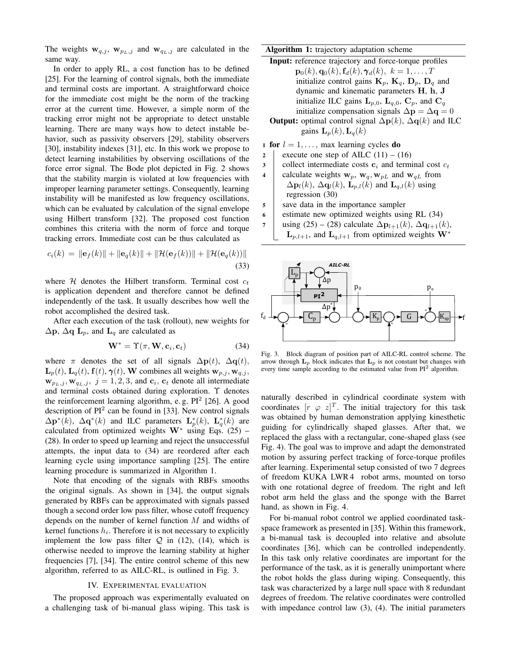The weights  $w_{q,j}$ ,  $w_{p_k,j}$  and  $w_{q_k,j}$  are calculated in the same way.

In order to apply RL, a cost function has to be defined [25]. For the learning of control signals, both the immediate and terminal costs are important. A straightforward choice for the immediate cost might be the norm of the tracking error at the current time. However, a simple norm of the tracking error might not be appropriate to detect unstable learning. There are many ways how to detect instable behavior, such as passivity observers [29], stability observers [30], instability indexes [31], etc. In this work we propose to detect learning instabilities by observing oscillations of the force error signal. The Bode plot depicted in Fig. 2 shows that the stability margin is violated at low frequencies with improper learning parameter settings. Consequently, learning instability will be manifested as low frequency oscillations, which can be evaluated by calculation of the signal envelope using Hilbert transform [32]. The proposed cost function combines this criteria with the norm of force and torque tracking errors. Immediate cost can be thus calculated as

$$
c_i(k) = ||\mathbf{e}_f(k)|| + ||\mathbf{e}_q(k)|| + ||\mathcal{H}(\mathbf{e}_f(k))|| + ||\mathcal{H}(\mathbf{e}_q(k))||
$$
\n(33)

where  $H$  denotes the Hilbert transform. Terminal cost  $c_t$ is application dependent and therefore cannot be defined independently of the task. It usually describes how well the robot accomplished the desired task.

After each execution of the task (rollout), new weights for  $\Delta$ p,  $\Delta$ q L<sub>p</sub>, and L<sub>q</sub> are calculated as

$$
\mathbf{W}^* = \Upsilon(\pi, \mathbf{W}, \mathbf{c}_i, \mathbf{c}_t) \tag{34}
$$

where  $\pi$  denotes the set of all signals  $\Delta \mathbf{p}(t)$ ,  $\Delta \mathbf{q}(t)$ ,  $\mathbf{L}_p(t)$ ,  $\mathbf{L}_q(t)$ ,  $\mathbf{f}(t)$ ,  $\boldsymbol{\gamma}(t)$ , W combines all weights  $\mathbf{w}_{p,j}$ ,  $\mathbf{w}_{q,j}$ ,  ${\bf w}_{p_L,j}$ ,  ${\bf w}_{q_L,j}$ ,  $j=1,2,3$ , and  ${\bf c}_i$ ,  ${\bf c}_t$  denote all intermediate and terminal costs obtained during exploration. Υ denotes the reinforcement learning algorithm, e.g.  $PI<sup>2</sup>$  [26]. A good description of  $PI^2$  can be found in [33]. New control signals  $\Delta \mathbf{p}^*(k)$ ,  $\Delta \mathbf{q}^*(k)$  and ILC parameters  $\mathbf{L}_p^*(k)$ ,  $\mathbf{L}_q^*(k)$  are calculated from optimized weights  $W^*$  using Eqs. (25) – (28). In order to speed up learning and reject the unsuccessful attempts, the input data to (34) are reordered after each learning cycle using importance sampling [25]. The entire learning procedure is summarized in Algorithm 1.

Note that encoding of the signals with RBFs smooths the original signals. As shown in [34], the output signals generated by RBFs can be approximated with signals passed though a second order low pass filter, whose cutoff frequency depends on the number of kernel function M and widths of kernel functions  $h_i$ . Therefore it is not necessary to explicitly implement the low pass filter  $Q$  in (12), (14), which is otherwise needed to improve the learning stability at higher frequencies [7], [34]. The entire control scheme of this new algorithm, referred to as AILC-RL, is outlined in Fig. 3.

## IV. EXPERIMENTAL EVALUATION

The proposed approach was experimentally evaluated on a challenging task of bi-manual glass wiping. This task is

## Algorithm 1: trajectory adaptation scheme

- Input: reference trajectory and force-torque profiles  $\mathbf{p}_0(k), \mathbf{q}_0(k), \mathbf{f}_d(k), \boldsymbol{\gamma}_d(k), k = 1, \ldots, T$ initialize control gains  $\mathbf{K}_p$ ,  $\mathbf{K}_q$ ,  $\mathbf{D}_p$ ,  $\mathbf{D}_q$  and dynamic and kinematic parameters H, h, J initialize ILC gains  $L_{p,0}$ ,  $L_{q,0}$ ,  $C_p$ , and  $C_q$ initialize compensation signals  $\Delta \mathbf{p} = \Delta \mathbf{q} = 0$ **Output:** optimal control signal  $\Delta p(k)$ ,  $\Delta q(k)$  and ILC gains  $\mathbf{L}_p(k)$ ,  $\mathbf{L}_q(k)$
- 1 for  $l = 1, \ldots$ , max learning cycles do
- 2 execute one step of AILC  $(11) (16)$
- $3$  collect intermediate costs  $c_i$  and terminal cost  $c_t$
- 4 calculate weights  $w_p$ ,  $w_q$ ,  $w_{pL}$  and  $w_{qL}$  from  $\Delta$ p<sub>l</sub>(k),  $\Delta$ q<sub>l</sub>(k),  $\mathbf{L}_{p,l}(k)$  and  $\mathbf{L}_{q,l}(k)$  using regression (30)
- 5 save data in the importance sampler
- 6 estimate new optimized weights using RL (34)
- using (25) (28) calculate  $\Delta \mathbf{p}_{l+1}(k)$ ,  $\Delta \mathbf{q}_{l+1}(k)$ ,
- $\mathbf{L}_{p,l+1}$ , and  $\mathbf{L}_{q,l+1}$  from optimized weights  $\mathbf{W}^*$



Fig. 3. Block diagram of position part of AILC-RL control scheme. The arrow through  $L_p$  block indicates that  $L_p$  is not constant but changes with every time sample according to the estimated value from  $PI<sup>2</sup>$  algorithm.

naturally described in cylindrical coordinate system with coordinates  $[r \varphi z]^T$ . The initial trajectory for this task was obtained by human demonstration applying kinesthetic guiding for cylindrically shaped glasses. After that, we replaced the glass with a rectangular, cone-shaped glass (see Fig. 4). The goal was to improve and adapt the demonstrated motion by assuring perfect tracking of force-torque profiles after learning. Experimental setup consisted of two 7 degrees of freedom KUKA LWR 4 robot arms, mounted on torso with one rotational degree of freedom. The right and left robot arm held the glass and the sponge with the Barret hand, as shown in Fig. 4.

For bi-manual robot control we applied coordinated taskspace framework as presented in [35]. Within this framework, a bi-manual task is decoupled into relative and absolute coordinates [36], which can be controlled independently. In this task only relative coordinates are important for the performance of the task, as it is generally unimportant where the robot holds the glass during wiping. Consequently, this task was characterized by a large null space with 8 redundant degrees of freedom. The relative coordinates were controlled with impedance control law  $(3)$ ,  $(4)$ . The initial parameters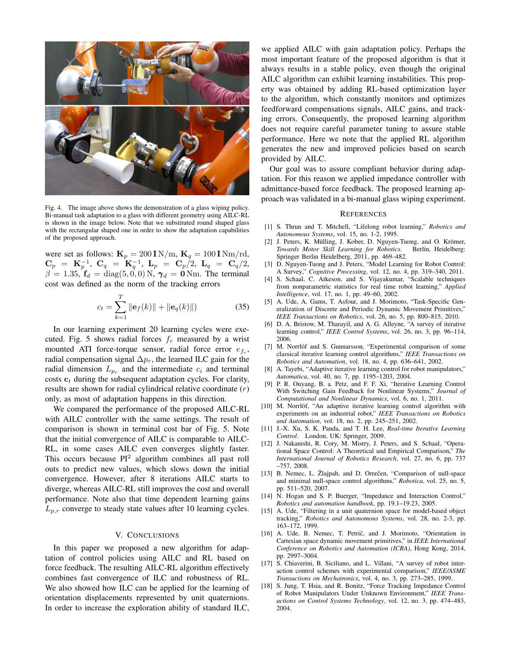

Fig. 4. The image above shows the demonstration of a glass wiping policy. Bi-manual task adaptation to a glass with different geometry using AILC-RL is shown in the image below. Note that we substituted round shaped glass with the rectangular shaped one in order to show the adaptation capabilities of the proposed approach.

were set as follows:  $\mathbf{K}_p = 200 \, \text{IN/m}$ ,  $\mathbf{K}_q = 100 \, \text{INm/rd}$ ,  ${\bf C}_p \,\,=\,\, {\bf K}_p^{-1}, \,\, {\bf C}_q \,\,=\,\, {\bf K}_q^{-1}, \,\, {\bf L}_p \,\,=\,\, {\bf C}_p/2, \,\, {\bf L}_q \,\,=\,\, {\bf C}_q/2,$  $\beta = 1.35$ ,  $\mathbf{f}_d = \text{diag}(5, 0, 0)$  N,  $\boldsymbol{\gamma}_d = \mathbf{0}$  Nm. The terminal cost was defined as the norm of the tracking errors

$$
c_t = \sum_{k=1}^{T} ||\mathbf{e}_f(k)|| + ||\mathbf{e}_q(k)||)
$$
 (35)

In our learning experiment 20 learning cycles were executed. Fig. 5 shows radial forces  $f_r$  measured by a wrist mounted ATI force-torque sensor, radial force error  $e_{f_r}$ , radial compensation signal  $\Delta p_r$ , the learned ILC gain for the radial dimension  $L_{p_r}$  and the intermediate  $c_i$  and terminal costs  $c_t$  during the subsequent adaptation cycles. For clarity, results are shown for radial cylindrical relative coordinate (r) only, as most of adaptation happens in this direction.

We compared the performance of the proposed AILC-RL with AILC controller with the same settings. The result of comparison is shown in terminal cost bar of Fig. 5. Note that the initial convergence of AILC is comparable to AILC-RL, in some cases AILC even converges slightly faster. This occurs because  $PI^2$  algorithm combines all past roll outs to predict new values, which slows down the initial convergence. However, after 8 iterations AILC starts to diverge, whereas AILC-RL still improves the cost and overall performance. Note also that time dependent learning gains  $L_{p,r}$  converge to steady state values after 10 learning cycles.

#### V. CONCLUSIONS

In this paper we proposed a new algorithm for adaptation of control policies using AILC and RL based on force feedback. The resulting AILC-RL algorithm effectively combines fast convergence of ILC and robustness of RL. We also showed how ILC can be applied for the learning of orientation displacements represented by unit quaternions. In order to increase the exploration ability of standard ILC, we applied AILC with gain adaptation policy. Perhaps the most important feature of the proposed algorithm is that it always results in a stable policy, even though the original AILC algorithm can exhibit learning instabilities. This property was obtained by adding RL-based optimization layer to the algorithm, which constantly monitors and optimizes feedforward compensations signals, AILC gains, and tracking errors. Consequently, the proposed learning algorithm does not require careful parameter tuning to assure stable performance. Here we note that the applied RL algorithm generates the new and improved policies based on search provided by AILC.

Our goal was to assure compliant behavior during adaptation. For this reason we applied impedance controller with admittance-based force feedback. The proposed learning approach was validated in a bi-manual glass wiping experiment.

## **REFERENCES**

- [1] S. Thrun and T. Mitchell, "Lifelong robot learning," *Robotics and Autonomous Systems*, vol. 15, no. 1-2, 1995.
- [2] J. Peters, K. Mülling, J. Kober, D. Nguyen-Tuong, and O. Krömer, *Towards Motor Skill Learning for Robotics*. Berlin, Heidelberg: Springer Berlin Heidelberg, 2011, pp. 469–482.
- [3] D. Nguyen-Tuong and J. Peters, "Model Learning for Robot Control: A Survey," *Cognitive Processing*, vol. 12, no. 4, pp. 319–340, 2011.
- [4] S. Schaal, C. Atkeson, and S. Vijayakumar, "Scalable techniques from nonparametric statistics for real time robot learning," *Applied Intelligence*, vol. 17, no. 1, pp. 49–60, 2002.
- [5] A. Ude, A. Gams, T. Asfour, and J. Morimoto, "Task-Specific Generalization of Discrete and Periodic Dynamic Movement Primitives," *IEEE Transactions on Robotics*, vol. 26, no. 5, pp. 800–815, 2010.
- [6] D. A. Bristow, M. Tharayil, and A. G. Alleyne, "A survey of iterative learning control," *IEEE Control Systems*, vol. 26, no. 3, pp. 96–114, 2006.
- [7] M. Norrlöf and S. Gunnarsson, "Experimental comparison of some classical iterative learning control algorithms," *IEEE Transactions on Robotics and Automation*, vol. 18, no. 4, pp. 636–641, 2002.
- [8] A. Tayebi, "Adaptive iterative learning control for robot manipulators," *Automatica*, vol. 40, no. 7, pp. 1195–1203, 2004.
- [9] P. R. Ouyang, B. a. Petz, and F. F. Xi, "Iterative Learning Control With Switching Gain Feedback for Nonlinear Systems," *Journal of Computational and Nonlinear Dynamics*, vol. 6, no. 1, 2011.
- [10] M. Norrlöf, "An adaptive iterative learning control algorithm with experiments on an industrial robot," *IEEE Transactions on Robotics and Automation*, vol. 18, no. 2, pp. 245–251, 2002.
- [11] J.-X. Xu, S. K. Panda, and T. H. Lee, *Real-time Iterative Learning Control*. London, UK: Springer, 2009.
- [12] J. Nakanishi, R. Cory, M. Mistry, J. Peters, and S. Schaal, "Operational Space Control: A Theoretical and Empirical Comparison," *The International Journal of Robotics Research*, vol. 27, no. 6, pp. 737 –757, 2008.
- [13] B. Nemec, L. Žlajpah, and D. Omrčen, "Comparison of null-space and minimal null-space control algorithms," *Robotica*, vol. 25, no. 5, pp. 511–520, 2007.
- [14] N. Hogan and S. P. Buerger, "Impedance and Interaction Control," *Robotics and automation handbook*, pp. 19.1–19.23, 2005.
- [15] A. Ude, "Filtering in a unit quaternion space for model-based object tracking," *Robotics and Autonomous Systems*, vol. 28, no. 2-3, pp. 163–172, 1999.
- [16] A. Ude, B. Nemec, T. Petrič, and J. Morimoto, "Orientation in Cartesian space dynamic movement primitives," in *IEEE International Conference on Robotics and Automation (ICRA)*, Hong Kong, 2014, pp. 2997–3004.
- [17] S. Chiaverini, B. Siciliano, and L. Villani, "A survey of robot interaction control schemes with experimental comparison," *IEEE/ASME Transactions on Mechatronics*, vol. 4, no. 3, pp. 273–285, 1999.
- [18] S. Jung, T. Hsia, and R. Bonitz, "Force Tracking Impedance Control of Robot Manipulators Under Unknown Environment," *IEEE Transactions on Control Systems Technology*, vol. 12, no. 3, pp. 474–483, 2004.